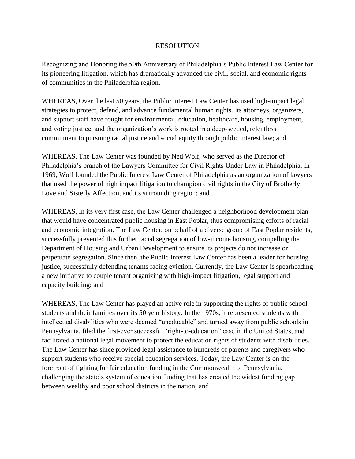## RESOLUTION

Recognizing and Honoring the 50th Anniversary of Philadelphia's Public Interest Law Center for its pioneering litigation, which has dramatically advanced the civil, social, and economic rights of communities in the Philadelphia region.

WHEREAS, Over the last 50 years, the Public Interest Law Center has used high-impact legal strategies to protect, defend, and advance fundamental human rights. Its attorneys, organizers, and support staff have fought for environmental, education, healthcare, housing, employment, and voting justice, and the organization's work is rooted in a deep-seeded, relentless commitment to pursuing racial justice and social equity through public interest law; and

WHEREAS, The Law Center was founded by Ned Wolf, who served as the Director of Philadelphia's branch of the Lawyers Committee for Civil Rights Under Law in Philadelphia. In 1969, Wolf founded the Public Interest Law Center of Philadelphia as an organization of lawyers that used the power of high impact litigation to champion civil rights in the City of Brotherly Love and Sisterly Affection, and its surrounding region; and

WHEREAS, In its very first case, the Law Center challenged a neighborhood development plan that would have concentrated public housing in East Poplar, thus compromising efforts of racial and economic integration. The Law Center, on behalf of a diverse group of East Poplar residents, successfully prevented this further racial segregation of low-income housing, compelling the Department of Housing and Urban Development to ensure its projects do not increase or perpetuate segregation. Since then, the Public Interest Law Center has been a leader for housing justice, successfully defending tenants facing eviction. Currently, the Law Center is spearheading a new initiative to couple tenant organizing with high-impact litigation, legal support and capacity building; and

WHEREAS, The Law Center has played an active role in supporting the rights of public school students and their families over its 50 year history. In the 1970s, it represented students with intellectual disabilities who were deemed "uneducable" and turned away from public schools in Pennsylvania, filed the first-ever successful "right-to-education" case in the United States, and facilitated a national legal movement to protect the education rights of students with disabilities. The Law Center has since provided legal assistance to hundreds of parents and caregivers who support students who receive special education services. Today, the Law Center is on the forefront of fighting for fair education funding in the Commonwealth of Pennsylvania, challenging the state's system of education funding that has created the widest funding gap between wealthy and poor school districts in the nation; and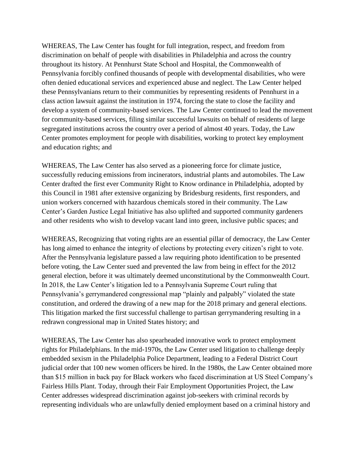WHEREAS, The Law Center has fought for full integration, respect, and freedom from discrimination on behalf of people with disabilities in Philadelphia and across the country throughout its history. At Pennhurst State School and Hospital, the Commonwealth of Pennsylvania forcibly confined thousands of people with developmental disabilities, who were often denied educational services and experienced abuse and neglect. The Law Center helped these Pennsylvanians return to their communities by representing residents of Pennhurst in a class action lawsuit against the institution in 1974, forcing the state to close the facility and develop a system of community-based services. The Law Center continued to lead the movement for community-based services, filing similar successful lawsuits on behalf of residents of large segregated institutions across the country over a period of almost 40 years. Today, the Law Center promotes employment for people with disabilities, working to protect key employment and education rights; and

WHEREAS, The Law Center has also served as a pioneering force for climate justice, successfully reducing emissions from incinerators, industrial plants and automobiles. The Law Center drafted the first ever Community Right to Know ordinance in Philadelphia, adopted by this Council in 1981 after extensive organizing by Bridesburg residents, first responders, and union workers concerned with hazardous chemicals stored in their community. The Law Center's Garden Justice Legal Initiative has also uplifted and supported community gardeners and other residents who wish to develop vacant land into green, inclusive public spaces; and

WHEREAS, Recognizing that voting rights are an essential pillar of democracy, the Law Center has long aimed to enhance the integrity of elections by protecting every citizen's right to vote. After the Pennsylvania legislature passed a law requiring photo identification to be presented before voting, the Law Center sued and prevented the law from being in effect for the 2012 general election, before it was ultimately deemed unconstitutional by the Commonwealth Court. In 2018, the Law Center's litigation led to a Pennsylvania Supreme Court ruling that Pennsylvania's gerrymandered congressional map "plainly and palpably" violated the state constitution, and ordered the drawing of a new map for the 2018 primary and general elections. This litigation marked the first successful challenge to partisan gerrymandering resulting in a redrawn congressional map in United States history; and

WHEREAS, The Law Center has also spearheaded innovative work to protect employment rights for Philadelphians. In the mid-1970s, the Law Center used litigation to challenge deeply embedded sexism in the Philadelphia Police Department, leading to a Federal District Court judicial order that 100 new women officers be hired. In the 1980s, the Law Center obtained more than \$15 million in back pay for Black workers who faced discrimination at US Steel Company's Fairless Hills Plant. Today, through their Fair Employment Opportunities Project, the Law Center addresses widespread discrimination against job-seekers with criminal records by representing individuals who are unlawfully denied employment based on a criminal history and